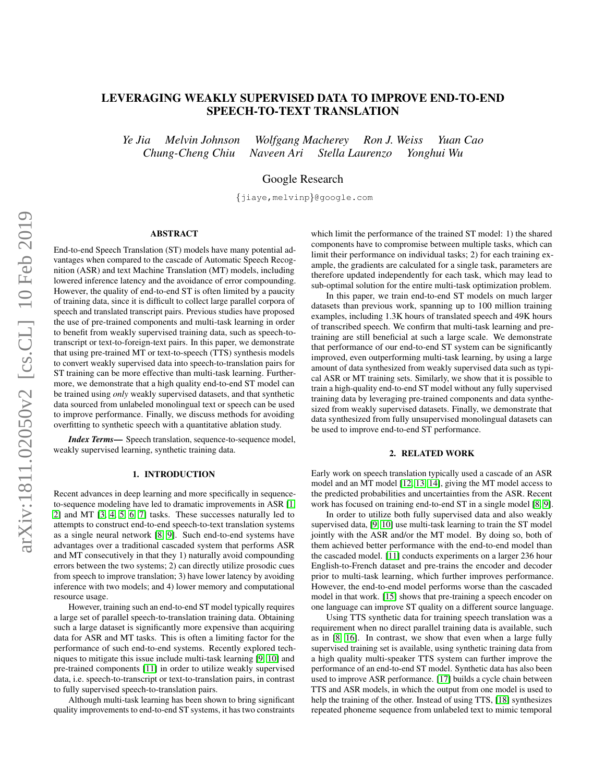# LEVERAGING WEAKLY SUPERVISED DATA TO IMPROVE END-TO-END SPEECH-TO-TEXT TRANSLATION

*Ye Jia Melvin Johnson Wolfgang Macherey Ron J. Weiss Yuan Cao Chung-Cheng Chiu Naveen Ari Stella Laurenzo Yonghui Wu*

Google Research

{jiaye,melvinp}@google.com

# ABSTRACT

End-to-end Speech Translation (ST) models have many potential advantages when compared to the cascade of Automatic Speech Recognition (ASR) and text Machine Translation (MT) models, including lowered inference latency and the avoidance of error compounding. However, the quality of end-to-end ST is often limited by a paucity of training data, since it is difficult to collect large parallel corpora of speech and translated transcript pairs. Previous studies have proposed the use of pre-trained components and multi-task learning in order to benefit from weakly supervised training data, such as speech-totranscript or text-to-foreign-text pairs. In this paper, we demonstrate that using pre-trained MT or text-to-speech (TTS) synthesis models to convert weakly supervised data into speech-to-translation pairs for ST training can be more effective than multi-task learning. Furthermore, we demonstrate that a high quality end-to-end ST model can be trained using *only* weakly supervised datasets, and that synthetic data sourced from unlabeled monolingual text or speech can be used to improve performance. Finally, we discuss methods for avoiding overfitting to synthetic speech with a quantitative ablation study.

*Index Terms*— Speech translation, sequence-to-sequence model, weakly supervised learning, synthetic training data.

### 1. INTRODUCTION

Recent advances in deep learning and more specifically in sequenceto-sequence modeling have led to dramatic improvements in ASR [\[1,](#page-4-0) [2\]](#page-4-1) and MT [\[3,](#page-4-2) [4,](#page-4-3) [5,](#page-4-4) [6,](#page-4-5) [7\]](#page-4-6) tasks. These successes naturally led to attempts to construct end-to-end speech-to-text translation systems as a single neural network [\[8,](#page-4-7) [9\]](#page-4-8). Such end-to-end systems have advantages over a traditional cascaded system that performs ASR and MT consecutively in that they 1) naturally avoid compounding errors between the two systems; 2) can directly utilize prosodic cues from speech to improve translation; 3) have lower latency by avoiding inference with two models; and 4) lower memory and computational resource usage.

However, training such an end-to-end ST model typically requires a large set of parallel speech-to-translation training data. Obtaining such a large dataset is significantly more expensive than acquiring data for ASR and MT tasks. This is often a limiting factor for the performance of such end-to-end systems. Recently explored techniques to mitigate this issue include multi-task learning [\[9,](#page-4-8) [10\]](#page-4-9) and pre-trained components [\[11\]](#page-4-10) in order to utilize weakly supervised data, i.e. speech-to-transcript or text-to-translation pairs, in contrast to fully supervised speech-to-translation pairs.

Although multi-task learning has been shown to bring significant quality improvements to end-to-end ST systems, it has two constraints

which limit the performance of the trained ST model: 1) the shared components have to compromise between multiple tasks, which can limit their performance on individual tasks; 2) for each training example, the gradients are calculated for a single task, parameters are therefore updated independently for each task, which may lead to sub-optimal solution for the entire multi-task optimization problem.

In this paper, we train end-to-end ST models on much larger datasets than previous work, spanning up to 100 million training examples, including 1.3K hours of translated speech and 49K hours of transcribed speech. We confirm that multi-task learning and pretraining are still beneficial at such a large scale. We demonstrate that performance of our end-to-end ST system can be significantly improved, even outperforming multi-task learning, by using a large amount of data synthesized from weakly supervised data such as typical ASR or MT training sets. Similarly, we show that it is possible to train a high-quality end-to-end ST model without any fully supervised training data by leveraging pre-trained components and data synthesized from weakly supervised datasets. Finally, we demonstrate that data synthesized from fully unsupervised monolingual datasets can be used to improve end-to-end ST performance.

#### 2. RELATED WORK

Early work on speech translation typically used a cascade of an ASR model and an MT model [\[12,](#page-4-11) [13,](#page-4-12) [14\]](#page-4-13), giving the MT model access to the predicted probabilities and uncertainties from the ASR. Recent work has focused on training end-to-end ST in a single model [\[8,](#page-4-7) [9\]](#page-4-8).

In order to utilize both fully supervised data and also weakly supervised data, [\[9,](#page-4-8) [10\]](#page-4-9) use multi-task learning to train the ST model jointly with the ASR and/or the MT model. By doing so, both of them achieved better performance with the end-to-end model than the cascaded model. [\[11\]](#page-4-10) conducts experiments on a larger 236 hour English-to-French dataset and pre-trains the encoder and decoder prior to multi-task learning, which further improves performance. However, the end-to-end model performs worse than the cascaded model in that work. [\[15\]](#page-4-14) shows that pre-training a speech encoder on one language can improve ST quality on a different source language.

Using TTS synthetic data for training speech translation was a requirement when no direct parallel training data is available, such as in [\[8,](#page-4-7) [16\]](#page-4-15). In contrast, we show that even when a large fully supervised training set is available, using synthetic training data from a high quality multi-speaker TTS system can further improve the performance of an end-to-end ST model. Synthetic data has also been used to improve ASR performance. [\[17\]](#page-4-16) builds a cycle chain between TTS and ASR models, in which the output from one model is used to help the training of the other. Instead of using TTS, [\[18\]](#page-4-17) synthesizes repeated phoneme sequence from unlabeled text to mimic temporal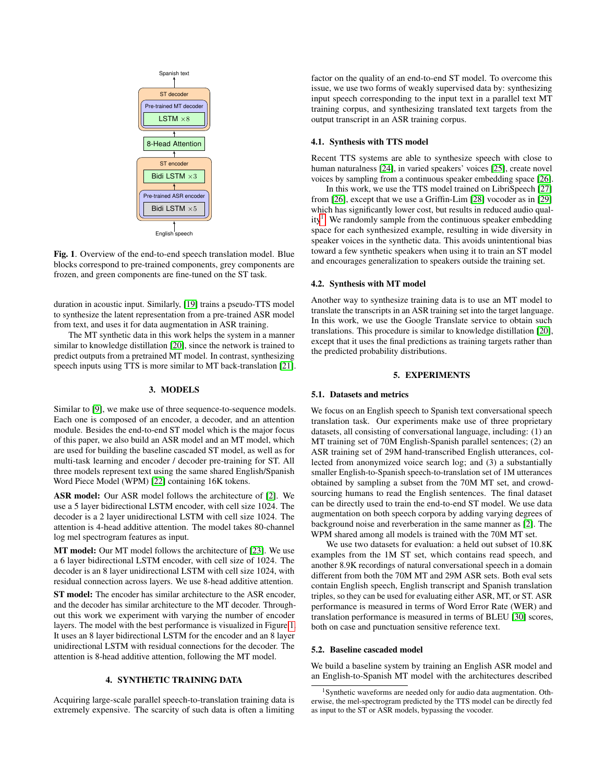

English speech

<span id="page-1-0"></span>Fig. 1. Overview of the end-to-end speech translation model. Blue blocks correspond to pre-trained components, grey components are frozen, and green components are fine-tuned on the ST task.

duration in acoustic input. Similarly, [\[19\]](#page-4-18) trains a pseudo-TTS model to synthesize the latent representation from a pre-trained ASR model from text, and uses it for data augmentation in ASR training.

The MT synthetic data in this work helps the system in a manner similar to knowledge distillation [\[20\]](#page-4-19), since the network is trained to predict outputs from a pretrained MT model. In contrast, synthesizing speech inputs using TTS is more similar to MT back-translation [\[21\]](#page-4-20).

### 3. MODELS

<span id="page-1-2"></span>Similar to [\[9\]](#page-4-8), we make use of three sequence-to-sequence models. Each one is composed of an encoder, a decoder, and an attention module. Besides the end-to-end ST model which is the major focus of this paper, we also build an ASR model and an MT model, which are used for building the baseline cascaded ST model, as well as for multi-task learning and encoder / decoder pre-training for ST. All three models represent text using the same shared English/Spanish Word Piece Model (WPM) [\[22\]](#page-4-21) containing 16K tokens.

ASR model: Our ASR model follows the architecture of [\[2\]](#page-4-1). We use a 5 layer bidirectional LSTM encoder, with cell size 1024. The decoder is a 2 layer unidirectional LSTM with cell size 1024. The attention is 4-head additive attention. The model takes 80-channel log mel spectrogram features as input.

MT model: Our MT model follows the architecture of [\[23\]](#page-4-22). We use a 6 layer bidirectional LSTM encoder, with cell size of 1024. The decoder is an 8 layer unidirectional LSTM with cell size 1024, with residual connection across layers. We use 8-head additive attention.

ST model: The encoder has similar architecture to the ASR encoder, and the decoder has similar architecture to the MT decoder. Throughout this work we experiment with varying the number of encoder layers. The model with the best performance is visualized in Figure [1.](#page-1-0) It uses an 8 layer bidirectional LSTM for the encoder and an 8 layer unidirectional LSTM with residual connections for the decoder. The attention is 8-head additive attention, following the MT model.

# 4. SYNTHETIC TRAINING DATA

<span id="page-1-4"></span>Acquiring large-scale parallel speech-to-translation training data is extremely expensive. The scarcity of such data is often a limiting factor on the quality of an end-to-end ST model. To overcome this issue, we use two forms of weakly supervised data by: synthesizing input speech corresponding to the input text in a parallel text MT training corpus, and synthesizing translated text targets from the output transcript in an ASR training corpus.

## <span id="page-1-5"></span>4.1. Synthesis with TTS model

Recent TTS systems are able to synthesize speech with close to human naturalness [\[24\]](#page-4-23), in varied speakers' voices [\[25\]](#page-4-24), create novel voices by sampling from a continuous speaker embedding space [\[26\]](#page-4-25).

In this work, we use the TTS model trained on LibriSpeech [\[27\]](#page-4-26) from [\[26\]](#page-4-25), except that we use a Griffin-Lim [\[28\]](#page-4-27) vocoder as in [\[29\]](#page-4-28) which has significantly lower cost, but results in reduced audio qual-ity<sup>[1](#page-1-1)</sup>. We randomly sample from the continuous speaker embedding space for each synthesized example, resulting in wide diversity in speaker voices in the synthetic data. This avoids unintentional bias toward a few synthetic speakers when using it to train an ST model and encourages generalization to speakers outside the training set.

### <span id="page-1-6"></span>4.2. Synthesis with MT model

Another way to synthesize training data is to use an MT model to translate the transcripts in an ASR training set into the target language. In this work, we use the Google Translate service to obtain such translations. This procedure is similar to knowledge distillation [\[20\]](#page-4-19), except that it uses the final predictions as training targets rather than the predicted probability distributions.

# 5. EXPERIMENTS

#### 5.1. Datasets and metrics

We focus on an English speech to Spanish text conversational speech translation task. Our experiments make use of three proprietary datasets, all consisting of conversational language, including: (1) an MT training set of 70M English-Spanish parallel sentences; (2) an ASR training set of 29M hand-transcribed English utterances, collected from anonymized voice search log; and (3) a substantially smaller English-to-Spanish speech-to-translation set of 1M utterances obtained by sampling a subset from the 70M MT set, and crowdsourcing humans to read the English sentences. The final dataset can be directly used to train the end-to-end ST model. We use data augmentation on both speech corpora by adding varying degrees of background noise and reverberation in the same manner as [\[2\]](#page-4-1). The WPM shared among all models is trained with the 70M MT set.

We use two datasets for evaluation: a held out subset of 10.8K examples from the 1M ST set, which contains read speech, and another 8.9K recordings of natural conversational speech in a domain different from both the 70M MT and 29M ASR sets. Both eval sets contain English speech, English transcript and Spanish translation triples, so they can be used for evaluating either ASR, MT, or ST. ASR performance is measured in terms of Word Error Rate (WER) and translation performance is measured in terms of BLEU [\[30\]](#page-4-29) scores, both on case and punctuation sensitive reference text.

#### <span id="page-1-3"></span>5.2. Baseline cascaded model

We build a baseline system by training an English ASR model and an English-to-Spanish MT model with the architectures described

<span id="page-1-1"></span><sup>&</sup>lt;sup>1</sup>Synthetic waveforms are needed only for audio data augmentation. Otherwise, the mel-spectrogram predicted by the TTS model can be directly fed as input to the ST or ASR models, bypassing the vocoder.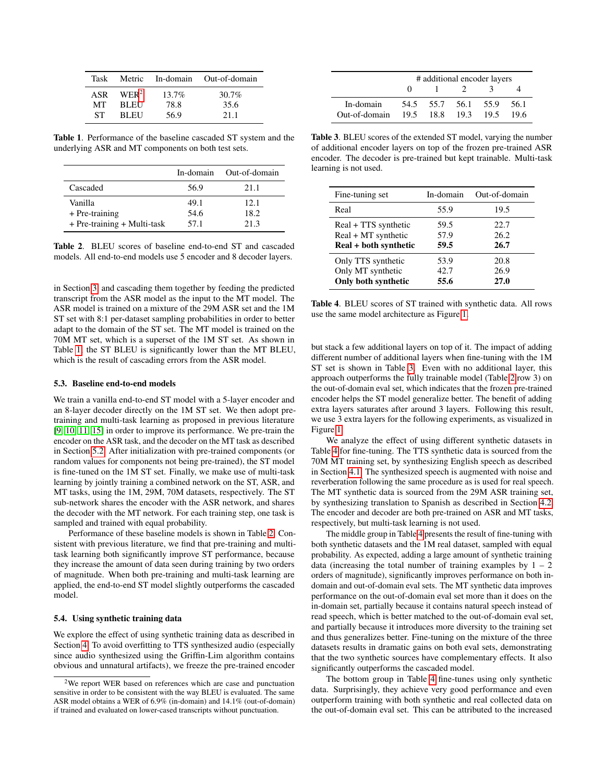| Task       |             |          | Metric In-domain Out-of-domain |
|------------|-------------|----------|--------------------------------|
| <b>ASR</b> | $WER^2$     | $13.7\%$ | $30.7\%$                       |
| MТ         | <b>BLEU</b> | 78.8     | 35.6                           |
| ST.        | <b>BLEU</b> | 56.9     | 21.1                           |

<span id="page-2-1"></span>Table 1. Performance of the baseline cascaded ST system and the underlying ASR and MT components on both test sets.

|                                 | In-domain | Out-of-domain |
|---------------------------------|-----------|---------------|
| Cascaded                        | 56.9      | 21.1          |
| Vanilla                         | 49.1      | 12.1          |
| + Pre-training                  | 54.6      | 18.2          |
| $+$ Pre-training $+$ Multi-task | 57.1      | 21.3          |

<span id="page-2-2"></span>Table 2. BLEU scores of baseline end-to-end ST and cascaded models. All end-to-end models use 5 encoder and 8 decoder layers.

in Section [3,](#page-1-2) and cascading them together by feeding the predicted transcript from the ASR model as the input to the MT model. The ASR model is trained on a mixture of the 29M ASR set and the 1M ST set with 8:1 per-dataset sampling probabilities in order to better adapt to the domain of the ST set. The MT model is trained on the 70M MT set, which is a superset of the 1M ST set. As shown in Table [1,](#page-2-1) the ST BLEU is significantly lower than the MT BLEU, which is the result of cascading errors from the ASR model.

#### <span id="page-2-6"></span>5.3. Baseline end-to-end models

We train a vanilla end-to-end ST model with a 5-layer encoder and an 8-layer decoder directly on the 1M ST set. We then adopt pretraining and multi-task learning as proposed in previous literature [\[9,](#page-4-8) [10,](#page-4-9) [11,](#page-4-10) [15\]](#page-4-14) in order to improve its performance. We pre-train the encoder on the ASR task, and the decoder on the MT task as described in Section [5.2.](#page-1-3) After initialization with pre-trained components (or random values for components not being pre-trained), the ST model is fine-tuned on the 1M ST set. Finally, we make use of multi-task learning by jointly training a combined network on the ST, ASR, and MT tasks, using the 1M, 29M, 70M datasets, respectively. The ST sub-network shares the encoder with the ASR network, and shares the decoder with the MT network. For each training step, one task is sampled and trained with equal probability.

Performance of these baseline models is shown in Table [2.](#page-2-2) Consistent with previous literature, we find that pre-training and multitask learning both significantly improve ST performance, because they increase the amount of data seen during training by two orders of magnitude. When both pre-training and multi-task learning are applied, the end-to-end ST model slightly outperforms the cascaded model.

# <span id="page-2-5"></span>5.4. Using synthetic training data

We explore the effect of using synthetic training data as described in Section [4.](#page-1-4) To avoid overfitting to TTS synthesized audio (especially since audio synthesized using the Griffin-Lim algorithm contains obvious and unnatural artifacts), we freeze the pre-trained encoder

|               | # additional encoder layers |      |      |      |      |
|---------------|-----------------------------|------|------|------|------|
|               |                             |      |      |      |      |
| In-domain     | 54.5                        | 55.7 | 56.1 | 55.9 | 56.1 |
| Out-of-domain | 19.5                        | 18.8 | 19.3 | 19.5 | 19.6 |

<span id="page-2-3"></span>Table 3. BLEU scores of the extended ST model, varying the number of additional encoder layers on top of the frozen pre-trained ASR encoder. The decoder is pre-trained but kept trainable. Multi-task learning is not used.

| Fine-tuning set       | In-domain | Out-of-domain |
|-----------------------|-----------|---------------|
| Real                  | 55.9      | 19.5          |
| Real + TTS synthetic  | 59.5      | 22.7          |
| Real + MT synthetic   | 57.9      | 26.2          |
| Real + both synthetic | 59.5      | 26.7          |
| Only TTS synthetic    | 53.9      | 20.8          |
| Only MT synthetic     | 42.7      | 26.9          |
| Only both synthetic   | 55.6      | 27.0          |

<span id="page-2-4"></span>Table 4. BLEU scores of ST trained with synthetic data. All rows use the same model architecture as Figure [1.](#page-1-0)

but stack a few additional layers on top of it. The impact of adding different number of additional layers when fine-tuning with the 1M ST set is shown in Table [3.](#page-2-3) Even with no additional layer, this approach outperforms the fully trainable model (Table [2](#page-2-2) row 3) on the out-of-domain eval set, which indicates that the frozen pre-trained encoder helps the ST model generalize better. The benefit of adding extra layers saturates after around 3 layers. Following this result, we use 3 extra layers for the following experiments, as visualized in Figure [1.](#page-1-0)

We analyze the effect of using different synthetic datasets in Table [4](#page-2-4) for fine-tuning. The TTS synthetic data is sourced from the 70M MT training set, by synthesizing English speech as described in Section [4.1.](#page-1-5) The synthesized speech is augmented with noise and reverberation following the same procedure as is used for real speech. The MT synthetic data is sourced from the 29M ASR training set, by synthesizing translation to Spanish as described in Section [4.2.](#page-1-6) The encoder and decoder are both pre-trained on ASR and MT tasks, respectively, but multi-task learning is not used.

The middle group in Table [4](#page-2-4) presents the result of fine-tuning with both synthetic datasets and the 1M real dataset, sampled with equal probability. As expected, adding a large amount of synthetic training data (increasing the total number of training examples by  $1 - 2$ orders of magnitude), significantly improves performance on both indomain and out-of-domain eval sets. The MT synthetic data improves performance on the out-of-domain eval set more than it does on the in-domain set, partially because it contains natural speech instead of read speech, which is better matched to the out-of-domain eval set, and partially because it introduces more diversity to the training set and thus generalizes better. Fine-tuning on the mixture of the three datasets results in dramatic gains on both eval sets, demonstrating that the two synthetic sources have complementary effects. It also significantly outperforms the cascaded model.

The bottom group in Table [4](#page-2-4) fine-tunes using only synthetic data. Surprisingly, they achieve very good performance and even outperform training with both synthetic and real collected data on the out-of-domain eval set. This can be attributed to the increased

<span id="page-2-0"></span> $2$ We report WER based on references which are case and punctuation sensitive in order to be consistent with the way BLEU is evaluated. The same ASR model obtains a WER of 6.9% (in-domain) and 14.1% (out-of-domain) if trained and evaluated on lower-cased transcripts without punctuation.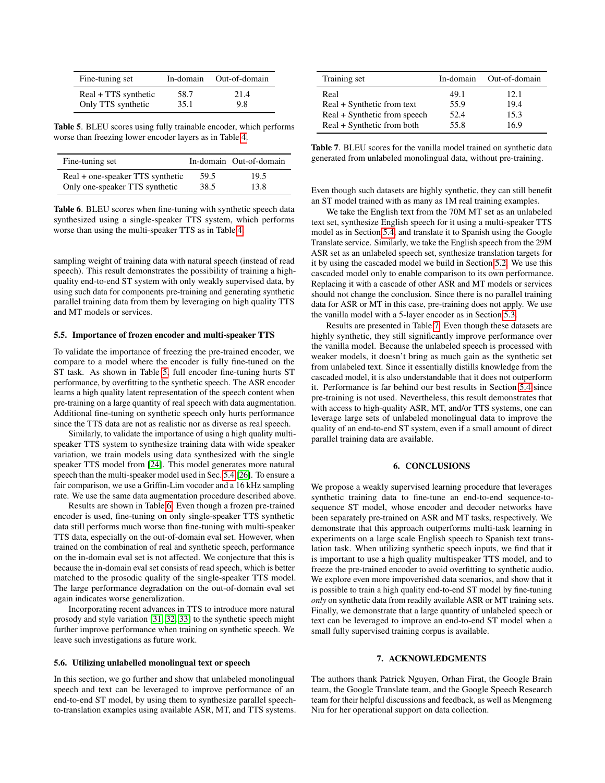| Fine-tuning set      | In-domain | Out-of-domain |
|----------------------|-----------|---------------|
| Real + TTS synthetic | 58.7      | 21.4          |
| Only TTS synthetic   | 35.1      | 9.8           |

<span id="page-3-0"></span>Table 5. BLEU scores using fully trainable encoder, which performs worse than freezing lower encoder layers as in Table [4.](#page-2-4)

| Fine-tuning set                  |      | In-domain Out-of-domain |
|----------------------------------|------|-------------------------|
| Real + one-speaker TTS synthetic | 59.5 | 19.5                    |
| Only one-speaker TTS synthetic   | 38.5 | 13.8                    |

<span id="page-3-1"></span>Table 6. BLEU scores when fine-tuning with synthetic speech data synthesized using a single-speaker TTS system, which performs worse than using the multi-speaker TTS as in Table [4.](#page-2-4)

sampling weight of training data with natural speech (instead of read speech). This result demonstrates the possibility of training a highquality end-to-end ST system with only weakly supervised data, by using such data for components pre-training and generating synthetic parallel training data from them by leveraging on high quality TTS and MT models or services.

#### 5.5. Importance of frozen encoder and multi-speaker TTS

To validate the importance of freezing the pre-trained encoder, we compare to a model where the encoder is fully fine-tuned on the ST task. As shown in Table [5,](#page-3-0) full encoder fine-tuning hurts ST performance, by overfitting to the synthetic speech. The ASR encoder learns a high quality latent representation of the speech content when pre-training on a large quantity of real speech with data augmentation. Additional fine-tuning on synthetic speech only hurts performance since the TTS data are not as realistic nor as diverse as real speech.

Similarly, to validate the importance of using a high quality multispeaker TTS system to synthesize training data with wide speaker variation, we train models using data synthesized with the single speaker TTS model from [\[24\]](#page-4-23). This model generates more natural speech than the multi-speaker model used in Sec. [5.4](#page-2-5) [\[26\]](#page-4-25). To ensure a fair comparison, we use a Griffin-Lim vocoder and a 16 kHz sampling rate. We use the same data augmentation procedure described above.

Results are shown in Table [6.](#page-3-1) Even though a frozen pre-trained encoder is used, fine-tuning on only single-speaker TTS synthetic data still performs much worse than fine-tuning with multi-speaker TTS data, especially on the out-of-domain eval set. However, when trained on the combination of real and synthetic speech, performance on the in-domain eval set is not affected. We conjecture that this is because the in-domain eval set consists of read speech, which is better matched to the prosodic quality of the single-speaker TTS model. The large performance degradation on the out-of-domain eval set again indicates worse generalization.

Incorporating recent advances in TTS to introduce more natural prosody and style variation [\[31,](#page-4-30) [32,](#page-4-31) [33\]](#page-4-32) to the synthetic speech might further improve performance when training on synthetic speech. We leave such investigations as future work.

# 5.6. Utilizing unlabelled monolingual text or speech

In this section, we go further and show that unlabeled monolingual speech and text can be leveraged to improve performance of an end-to-end ST model, by using them to synthesize parallel speechto-translation examples using available ASR, MT, and TTS systems.

| Training set                 | In-domain | Out-of-domain |
|------------------------------|-----------|---------------|
| Real                         | 49.1      | 12.1          |
| Real + Synthetic from text   | 55.9      | 19.4          |
| Real + Synthetic from speech | 52.4      | 15.3          |
| Real + Synthetic from both   | 55.8      | 16.9          |

<span id="page-3-2"></span>Table 7. BLEU scores for the vanilla model trained on synthetic data generated from unlabeled monolingual data, without pre-training.

Even though such datasets are highly synthetic, they can still benefit an ST model trained with as many as 1M real training examples.

We take the English text from the 70M MT set as an unlabeled text set, synthesize English speech for it using a multi-speaker TTS model as in Section [5.4,](#page-2-5) and translate it to Spanish using the Google Translate service. Similarly, we take the English speech from the 29M ASR set as an unlabeled speech set, synthesize translation targets for it by using the cascaded model we build in Section [5.2.](#page-1-3) We use this cascaded model only to enable comparison to its own performance. Replacing it with a cascade of other ASR and MT models or services should not change the conclusion. Since there is no parallel training data for ASR or MT in this case, pre-training does not apply. We use the vanilla model with a 5-layer encoder as in Section [5.3.](#page-2-6)

Results are presented in Table [7.](#page-3-2) Even though these datasets are highly synthetic, they still significantly improve performance over the vanilla model. Because the unlabeled speech is processed with weaker models, it doesn't bring as much gain as the synthetic set from unlabeled text. Since it essentially distills knowledge from the cascaded model, it is also understandable that it does not outperform it. Performance is far behind our best results in Section [5.4](#page-2-5) since pre-training is not used. Nevertheless, this result demonstrates that with access to high-quality ASR, MT, and/or TTS systems, one can leverage large sets of unlabeled monolingual data to improve the quality of an end-to-end ST system, even if a small amount of direct parallel training data are available.

### 6. CONCLUSIONS

We propose a weakly supervised learning procedure that leverages synthetic training data to fine-tune an end-to-end sequence-tosequence ST model, whose encoder and decoder networks have been separately pre-trained on ASR and MT tasks, respectively. We demonstrate that this approach outperforms multi-task learning in experiments on a large scale English speech to Spanish text translation task. When utilizing synthetic speech inputs, we find that it is important to use a high quality multispeaker TTS model, and to freeze the pre-trained encoder to avoid overfitting to synthetic audio. We explore even more impoverished data scenarios, and show that it is possible to train a high quality end-to-end ST model by fine-tuning *only* on synthetic data from readily available ASR or MT training sets. Finally, we demonstrate that a large quantity of unlabeled speech or text can be leveraged to improve an end-to-end ST model when a small fully supervised training corpus is available.

#### 7. ACKNOWLEDGMENTS

The authors thank Patrick Nguyen, Orhan Firat, the Google Brain team, the Google Translate team, and the Google Speech Research team for their helpful discussions and feedback, as well as Mengmeng Niu for her operational support on data collection.